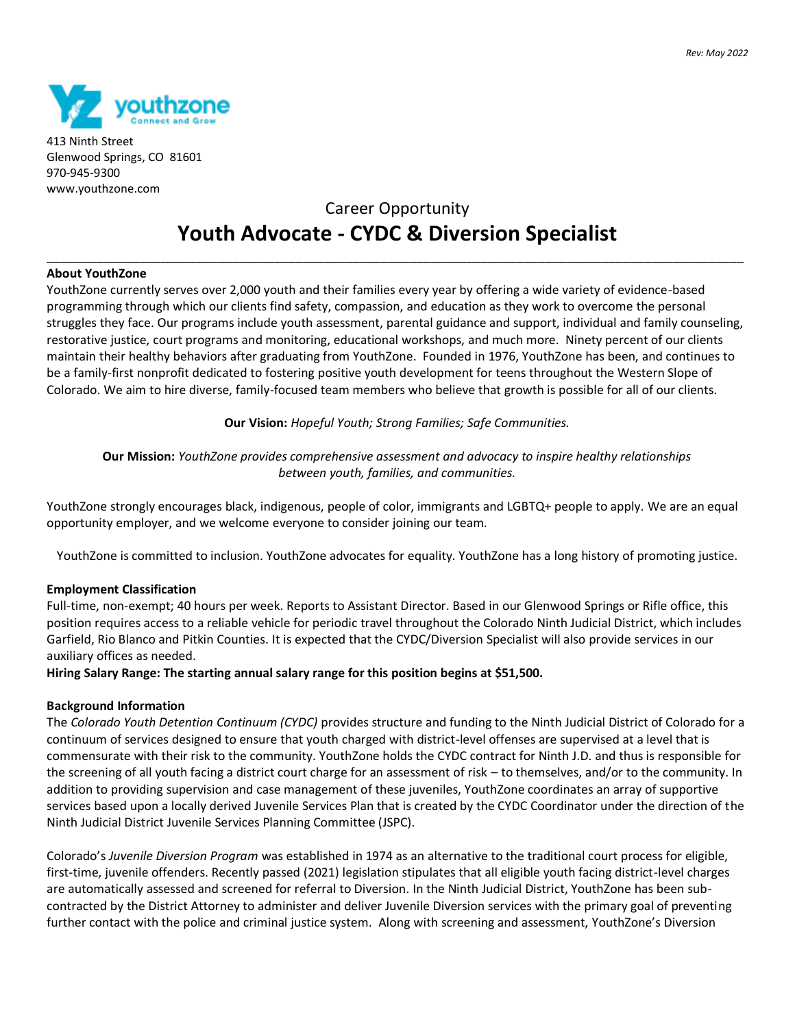

413 Ninth Street Glenwood Springs, CO 81601 970-945-9300 www.youthzone.com

# Career Opportunity **Youth Advocate - CYDC & Diversion Specialist**

\_\_\_\_\_\_\_\_\_\_\_\_\_\_\_\_\_\_\_\_\_\_\_\_\_\_\_\_\_\_\_\_\_\_\_\_\_\_\_\_\_\_\_\_\_\_\_\_\_\_\_\_\_\_\_\_\_\_\_\_\_\_\_\_\_\_\_\_\_\_\_\_\_\_\_\_\_\_\_\_\_\_\_\_\_\_\_\_\_\_\_\_\_\_\_\_\_\_

#### **About YouthZone**

YouthZone currently serves over 2,000 youth and their families every year by offering a wide variety of evidence-based programming through which our clients find safety, compassion, and education as they work to overcome the personal struggles they face. Our programs include youth assessment, parental guidance and support, individual and family counseling, restorative justice, court programs and monitoring, educational workshops, and much more. Ninety percent of our clients maintain their healthy behaviors after graduating from YouthZone. Founded in 1976, YouthZone has been, and continues to be a family-first nonprofit dedicated to fostering positive youth development for teens throughout the Western Slope of Colorado. We aim to hire diverse, family-focused team members who believe that growth is possible for all of our clients.

**Our Vision:** *Hopeful Youth; Strong Families; Safe Communities.*

## **Our Mission:** *YouthZone provides comprehensive assessment and advocacy to inspire healthy relationships between youth, families, and communities.*

YouthZone strongly encourages black, indigenous, people of color, immigrants and LGBTQ+ people to apply. We are an equal opportunity employer, and we welcome everyone to consider joining our team.

YouthZone is committed to inclusion. YouthZone advocates for equality. YouthZone has a long history of promoting justice.

## **Employment Classification**

Full-time, non-exempt; 40 hours per week. Reports to Assistant Director. Based in our Glenwood Springs or Rifle office, this position requires access to a reliable vehicle for periodic travel throughout the Colorado Ninth Judicial District, which includes Garfield, Rio Blanco and Pitkin Counties. It is expected that the CYDC/Diversion Specialist will also provide services in our auxiliary offices as needed.

**Hiring Salary Range: The starting annual salary range for this position begins at \$51,500.** 

## **Background Information**

The *Colorado Youth Detention Continuum (CYDC)* provides structure and funding to the Ninth Judicial District of Colorado for a continuum of services designed to ensure that youth charged with district-level offenses are supervised at a level that is commensurate with their risk to the community. YouthZone holds the CYDC contract for Ninth J.D. and thus is responsible for the screening of all youth facing a district court charge for an assessment of risk – to themselves, and/or to the community. In addition to providing supervision and case management of these juveniles, YouthZone coordinates an array of supportive services based upon a locally derived Juvenile Services Plan that is created by the CYDC Coordinator under the direction of the Ninth Judicial District Juvenile Services Planning Committee (JSPC).

Colorado's *Juvenile Diversion Program* was established in 1974 as an alternative to the traditional court process for eligible, first-time, juvenile offenders. Recently passed (2021) legislation stipulates that all eligible youth facing district-level charges are automatically assessed and screened for referral to Diversion. In the Ninth Judicial District, YouthZone has been subcontracted by the District Attorney to administer and deliver Juvenile Diversion services with the primary goal of preventing further contact with the police and criminal justice system. Along with screening and assessment, YouthZone's Diversion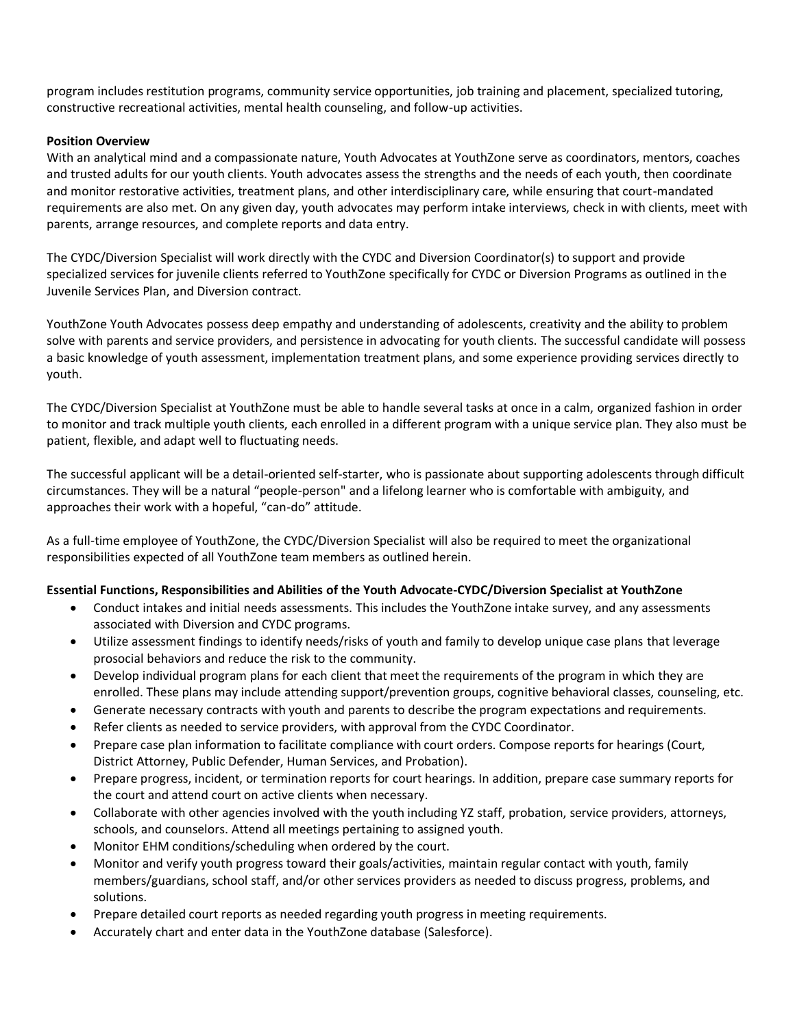program includes restitution programs, community service opportunities, job training and placement, specialized tutoring, constructive recreational activities, mental health counseling, and follow-up activities.

## **Position Overview**

With an analytical mind and a compassionate nature, Youth Advocates at YouthZone serve as coordinators, mentors, coaches and trusted adults for our youth clients. Youth advocates assess the strengths and the needs of each youth, then coordinate and monitor restorative activities, treatment plans, and other interdisciplinary care, while ensuring that court-mandated requirements are also met. On any given day, youth advocates may perform intake interviews, check in with clients, meet with parents, arrange resources, and complete reports and data entry.

The CYDC/Diversion Specialist will work directly with the CYDC and Diversion Coordinator(s) to support and provide specialized services for juvenile clients referred to YouthZone specifically for CYDC or Diversion Programs as outlined in the Juvenile Services Plan, and Diversion contract.

YouthZone Youth Advocates possess deep empathy and understanding of adolescents, creativity and the ability to problem solve with parents and service providers, and persistence in advocating for youth clients. The successful candidate will possess a basic knowledge of youth assessment, implementation treatment plans, and some experience providing services directly to youth.

The CYDC/Diversion Specialist at YouthZone must be able to handle several tasks at once in a calm, organized fashion in order to monitor and track multiple youth clients, each enrolled in a different program with a unique service plan. They also must be patient, flexible, and adapt well to fluctuating needs.

The successful applicant will be a detail-oriented self-starter, who is passionate about supporting adolescents through difficult circumstances. They will be a natural "people-person" and a lifelong learner who is comfortable with ambiguity, and approaches their work with a hopeful, "can-do" attitude.

As a full-time employee of YouthZone, the CYDC/Diversion Specialist will also be required to meet the organizational responsibilities expected of all YouthZone team members as outlined herein.

## **Essential Functions, Responsibilities and Abilities of the Youth Advocate-CYDC/Diversion Specialist at YouthZone**

- Conduct intakes and initial needs assessments. This includes the YouthZone intake survey, and any assessments associated with Diversion and CYDC programs.
- Utilize assessment findings to identify needs/risks of youth and family to develop unique case plans that leverage prosocial behaviors and reduce the risk to the community.
- Develop individual program plans for each client that meet the requirements of the program in which they are enrolled. These plans may include attending support/prevention groups, cognitive behavioral classes, counseling, etc.
- Generate necessary contracts with youth and parents to describe the program expectations and requirements.
- Refer clients as needed to service providers, with approval from the CYDC Coordinator.
- Prepare case plan information to facilitate compliance with court orders. Compose reports for hearings (Court, District Attorney, Public Defender, Human Services, and Probation).
- Prepare progress, incident, or termination reports for court hearings. In addition, prepare case summary reports for the court and attend court on active clients when necessary.
- Collaborate with other agencies involved with the youth including YZ staff, probation, service providers, attorneys, schools, and counselors. Attend all meetings pertaining to assigned youth.
- Monitor EHM conditions/scheduling when ordered by the court.
- Monitor and verify youth progress toward their goals/activities, maintain regular contact with youth, family members/guardians, school staff, and/or other services providers as needed to discuss progress, problems, and solutions.
- Prepare detailed court reports as needed regarding youth progress in meeting requirements.
- Accurately chart and enter data in the YouthZone database (Salesforce).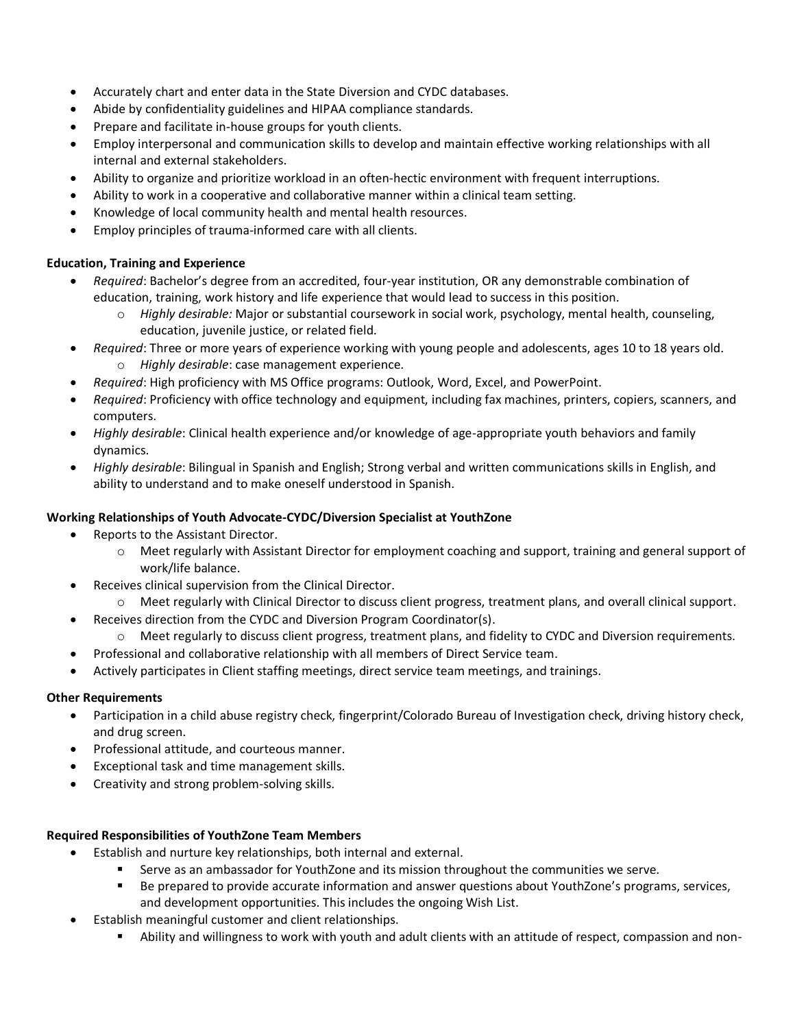- Accurately chart and enter data in the State Diversion and CYDC databases.
- Abide by confidentiality guidelines and HIPAA compliance standards.
- Prepare and facilitate in-house groups for youth clients.
- Employ interpersonal and communication skills to develop and maintain effective working relationships with all internal and external stakeholders.
- Ability to organize and prioritize workload in an often-hectic environment with frequent interruptions.
- Ability to work in a cooperative and collaborative manner within a clinical team setting.
- Knowledge of local community health and mental health resources.
- Employ principles of trauma-informed care with all clients.

# **Education, Training and Experience**

- *Required*: Bachelor's degree from an accredited, four-year institution, OR any demonstrable combination of education, training, work history and life experience that would lead to success in this position.
	- o *Highly desirable:* Major or substantial coursework in social work, psychology, mental health, counseling, education, juvenile justice, or related field.
- *Required*: Three or more years of experience working with young people and adolescents, ages 10 to 18 years old. o *Highly desirable*: case management experience.
- *Required*: High proficiency with MS Office programs: Outlook, Word, Excel, and PowerPoint.
- *Required*: Proficiency with office technology and equipment, including fax machines, printers, copiers, scanners, and computers.
- *Highly desirable*: Clinical health experience and/or knowledge of age-appropriate youth behaviors and family dynamics.
- *Highly desirable*: Bilingual in Spanish and English; Strong verbal and written communications skills in English, and ability to understand and to make oneself understood in Spanish.

# **Working Relationships of Youth Advocate-CYDC/Diversion Specialist at YouthZone**

- Reports to the Assistant Director.
	- o Meet regularly with Assistant Director for employment coaching and support, training and general support of work/life balance.
- Receives clinical supervision from the Clinical Director.
	- $\circ$  Meet regularly with Clinical Director to discuss client progress, treatment plans, and overall clinical support.
- Receives direction from the CYDC and Diversion Program Coordinator(s).
	- o Meet regularly to discuss client progress, treatment plans, and fidelity to CYDC and Diversion requirements.
- Professional and collaborative relationship with all members of Direct Service team.
- Actively participates in Client staffing meetings, direct service team meetings, and trainings.

# **Other Requirements**

- Participation in a child abuse registry check, fingerprint/Colorado Bureau of Investigation check, driving history check, and drug screen.
- Professional attitude, and courteous manner.
- Exceptional task and time management skills.
- Creativity and strong problem-solving skills.

# **Required Responsibilities of YouthZone Team Members**

- Establish and nurture key relationships, both internal and external.
	- **EXECT** Serve as an ambassador for YouthZone and its mission throughout the communities we serve.
	- Be prepared to provide accurate information and answer questions about YouthZone's programs, services, and development opportunities. This includes the ongoing Wish List.
- Establish meaningful customer and client relationships.
	- Ability and willingness to work with youth and adult clients with an attitude of respect, compassion and non-